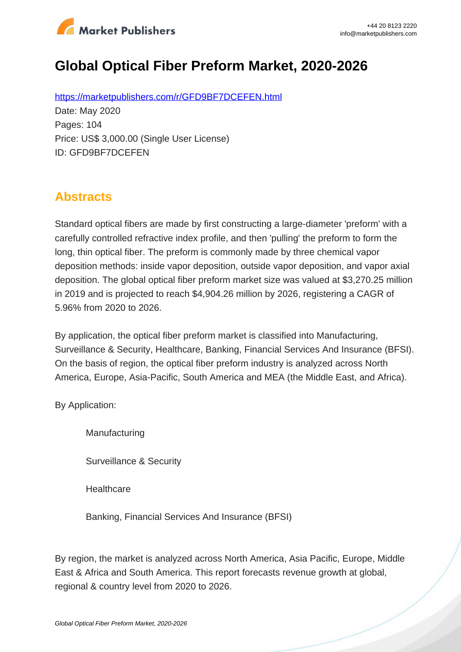

# **Global Optical Fiber Preform Market, 2020-2026**

https://marketpublishers.com/r/GFD9BF7DCEFEN.html Date: May 2020 Pages: 104 Price: US\$ 3,000.00 (Single User License) ID: GFD9BF7DCEFEN

## **Abstracts**

Standard optical fibers are made by first constructing a large-diameter 'preform' with a carefully controlled refractive index profile, and then 'pulling' the preform to form the long, thin optical fiber. The preform is commonly made by three chemical vapor deposition methods: inside vapor deposition, outside vapor deposition, and vapor axial deposition. The global optical fiber preform market size was valued at \$3,270.25 million in 2019 and is projected to reach \$4,904.26 million by 2026, registering a CAGR of 5.96% from 2020 to 2026.

By application, the optical fiber preform market is classified into Manufacturing, Surveillance & Security, Healthcare, Banking, Financial Services And Insurance (BFSI). On the basis of region, the optical fiber preform industry is analyzed across North America, Europe, Asia-Pacific, South America and MEA (the Middle East, and Africa).

By Application:

Manufacturing

Surveillance & Security

**Healthcare** 

Banking, Financial Services And Insurance (BFSI)

By region, the market is analyzed across North America, Asia Pacific, Europe, Middle East & Africa and South America. This report forecasts revenue growth at global, regional & country level from 2020 to 2026.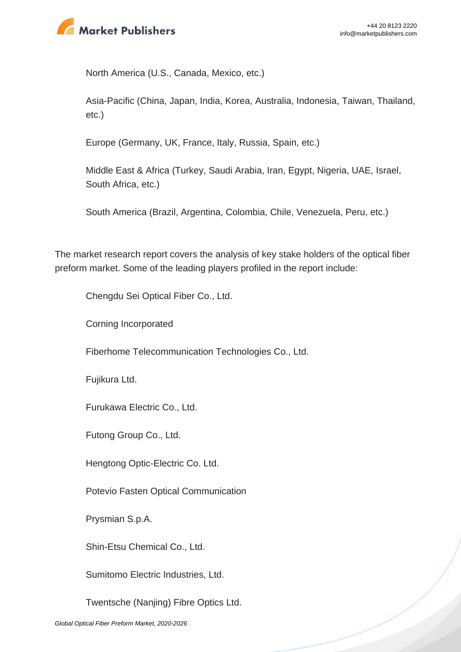

North America (U.S., Canada, Mexico, etc.)

Asia-Pacific (China, Japan, India, Korea, Australia, Indonesia, Taiwan, Thailand, etc.)

Europe (Germany, UK, France, Italy, Russia, Spain, etc.)

Middle East & Africa (Turkey, Saudi Arabia, Iran, Egypt, Nigeria, UAE, Israel, South Africa, etc.)

South America (Brazil, Argentina, Colombia, Chile, Venezuela, Peru, etc.)

The market research report covers the analysis of key stake holders of the optical fiber preform market. Some of the leading players profiled in the report include:

Chengdu Sei Optical Fiber Co., Ltd.

Corning Incorporated

Fiberhome Telecommunication Technologies Co., Ltd.

Fujikura Ltd.

Furukawa Electric Co., Ltd.

Futong Group Co., Ltd.

Hengtong Optic-Electric Co. Ltd.

Potevio Fasten Optical Communication

Prysmian S.p.A.

Shin-Etsu Chemical Co., Ltd.

Sumitomo Electric Industries, Ltd.

Twentsche (Nanjing) Fibre Optics Ltd.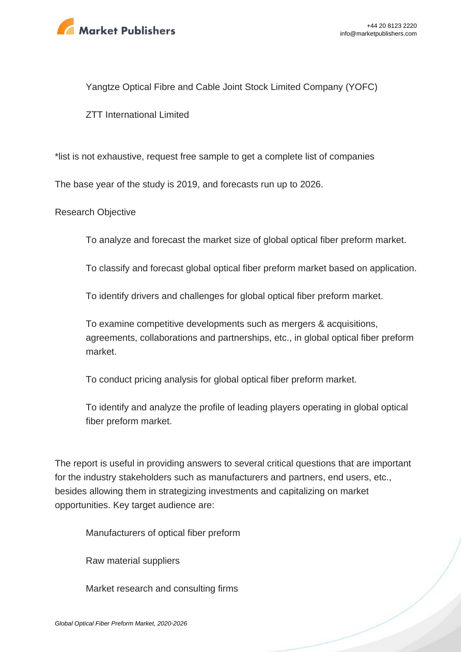

Yangtze Optical Fibre and Cable Joint Stock Limited Company (YOFC)

ZTT International Limited

\*list is not exhaustive, request free sample to get a complete list of companies

The base year of the study is 2019, and forecasts run up to 2026.

Research Objective

To analyze and forecast the market size of global optical fiber preform market.

To classify and forecast global optical fiber preform market based on application.

To identify drivers and challenges for global optical fiber preform market.

To examine competitive developments such as mergers & acquisitions, agreements, collaborations and partnerships, etc., in global optical fiber preform market.

To conduct pricing analysis for global optical fiber preform market.

To identify and analyze the profile of leading players operating in global optical fiber preform market.

The report is useful in providing answers to several critical questions that are important for the industry stakeholders such as manufacturers and partners, end users, etc., besides allowing them in strategizing investments and capitalizing on market opportunities. Key target audience are:

Manufacturers of optical fiber preform

Raw material suppliers

Market research and consulting firms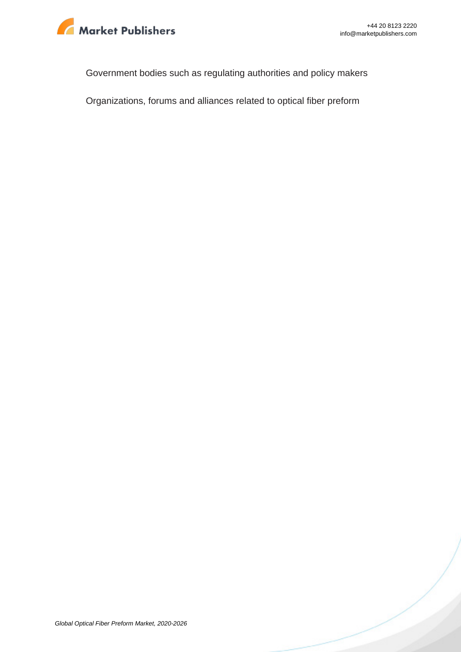

Government bodies such as regulating authorities and policy makers

Organizations, forums and alliances related to optical fiber preform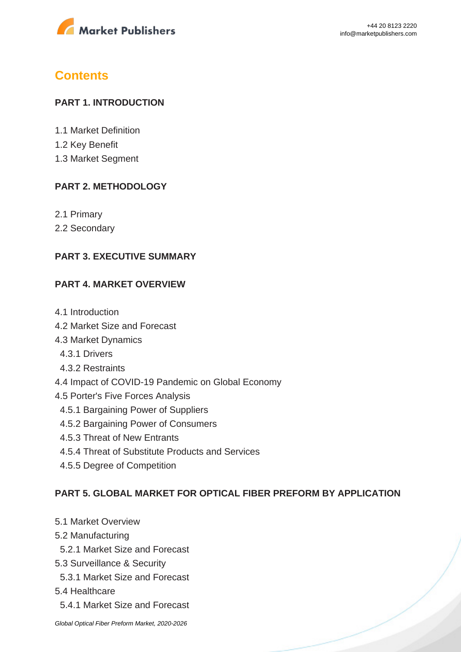

## **Contents**

#### **PART 1. INTRODUCTION**

- 1.1 Market Definition
- 1.2 Key Benefit
- 1.3 Market Segment

#### **PART 2. METHODOLOGY**

- 2.1 Primary
- 2.2 Secondary

#### **PART 3. EXECUTIVE SUMMARY**

#### **PART 4. MARKET OVERVIEW**

- 4.1 Introduction
- 4.2 Market Size and Forecast
- 4.3 Market Dynamics
	- 4.3.1 Drivers
	- 4.3.2 Restraints
- 4.4 Impact of COVID-19 Pandemic on Global Economy
- 4.5 Porter's Five Forces Analysis
	- 4.5.1 Bargaining Power of Suppliers
	- 4.5.2 Bargaining Power of Consumers
	- 4.5.3 Threat of New Entrants
	- 4.5.4 Threat of Substitute Products and Services
	- 4.5.5 Degree of Competition

#### **PART 5. GLOBAL MARKET FOR OPTICAL FIBER PREFORM BY APPLICATION**

- 5.1 Market Overview
- 5.2 Manufacturing
- 5.2.1 Market Size and Forecast
- 5.3 Surveillance & Security
- 5.3.1 Market Size and Forecast
- 5.4 Healthcare
	- 5.4.1 Market Size and Forecast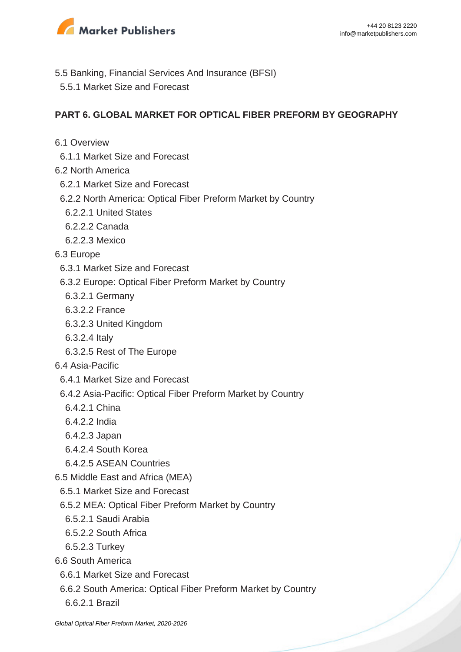

- 5.5 Banking, Financial Services And Insurance (BFSI)
	- 5.5.1 Market Size and Forecast

#### **PART 6. GLOBAL MARKET FOR OPTICAL FIBER PREFORM BY GEOGRAPHY**

- 6.1 Overview
	- 6.1.1 Market Size and Forecast
- 6.2 North America
	- 6.2.1 Market Size and Forecast
	- 6.2.2 North America: Optical Fiber Preform Market by Country
		- 6.2.2.1 United States
		- 6.2.2.2 Canada
		- 6.2.2.3 Mexico
- 6.3 Europe
	- 6.3.1 Market Size and Forecast
	- 6.3.2 Europe: Optical Fiber Preform Market by Country
	- 6.3.2.1 Germany
	- 6.3.2.2 France
	- 6.3.2.3 United Kingdom
	- 6.3.2.4 Italy
	- 6.3.2.5 Rest of The Europe
- 6.4 Asia-Pacific
	- 6.4.1 Market Size and Forecast
	- 6.4.2 Asia-Pacific: Optical Fiber Preform Market by Country
	- 6.4.2.1 China
	- 6.4.2.2 India
	- 6.4.2.3 Japan
	- 6.4.2.4 South Korea
	- 6.4.2.5 ASEAN Countries
- 6.5 Middle East and Africa (MEA)
	- 6.5.1 Market Size and Forecast
	- 6.5.2 MEA: Optical Fiber Preform Market by Country
	- 6.5.2.1 Saudi Arabia
	- 6.5.2.2 South Africa
	- 6.5.2.3 Turkey
- 6.6 South America
	- 6.6.1 Market Size and Forecast
	- 6.6.2 South America: Optical Fiber Preform Market by Country
		- 6.6.2.1 Brazil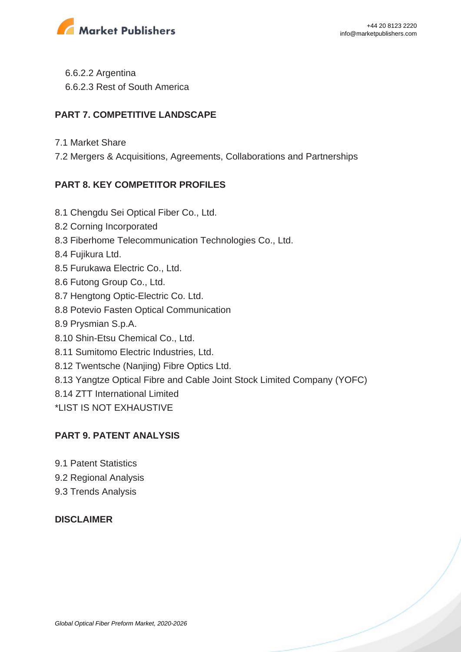

 6.6.2.2 Argentina 6.6.2.3 Rest of South America

#### **PART 7. COMPETITIVE LANDSCAPE**

- 7.1 Market Share
- 7.2 Mergers & Acquisitions, Agreements, Collaborations and Partnerships

### **PART 8. KEY COMPETITOR PROFILES**

- 8.1 Chengdu Sei Optical Fiber Co., Ltd.
- 8.2 Corning Incorporated
- 8.3 Fiberhome Telecommunication Technologies Co., Ltd.
- 8.4 Fujikura Ltd.
- 8.5 Furukawa Electric Co., Ltd.
- 8.6 Futong Group Co., Ltd.
- 8.7 Hengtong Optic-Electric Co. Ltd.
- 8.8 Potevio Fasten Optical Communication
- 8.9 Prysmian S.p.A.
- 8.10 Shin-Etsu Chemical Co., Ltd.
- 8.11 Sumitomo Electric Industries, Ltd.
- 8.12 Twentsche (Nanjing) Fibre Optics Ltd.
- 8.13 Yangtze Optical Fibre and Cable Joint Stock Limited Company (YOFC)
- 8.14 ZTT International Limited
- \*LIST IS NOT EXHAUSTIVE

#### **PART 9. PATENT ANALYSIS**

- 9.1 Patent Statistics
- 9.2 Regional Analysis
- 9.3 Trends Analysis

#### **DISCLAIMER**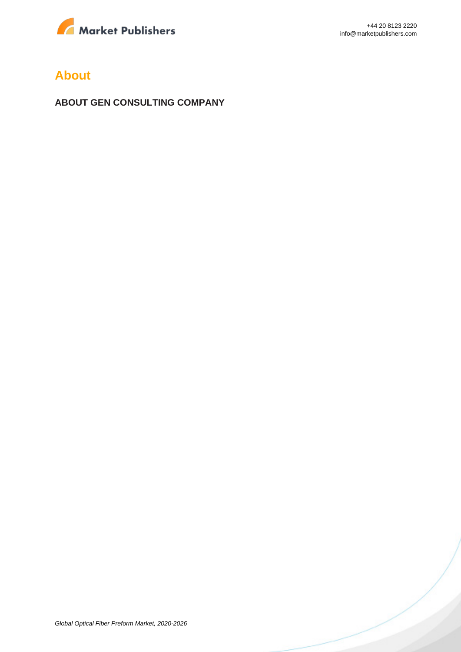

### **About**

**ABOUT GEN CONSULTING COMPANY**